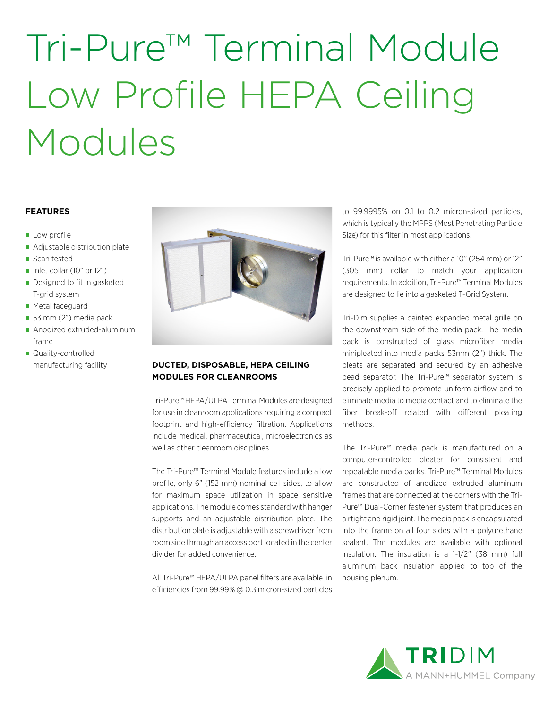# Tri-Pure™ Terminal Module Low Profile HEPA Ceiling Modules

#### **FEATURES**

- **Low profile**
- Adjustable distribution plate
- Scan tested
- Inlet collar (10" or 12")
- Designed to fit in gasketed T-grid system
- **Metal faceguard**
- 53 mm (2") media pack
- Anodized extruded-aluminum frame
- Quality-controlled manufacturing facility



### **DUCTED, DISPOSABLE, HEPA CEILING MODULES FOR CLEANROOMS**

Tri-Pure™ HEPA/ULPA Terminal Modules are designed for use in cleanroom applications requiring a compact footprint and high-efficiency filtration. Applications include medical, pharmaceutical, microelectronics as well as other cleanroom disciplines.

The Tri-Pure™ Terminal Module features include a low profile, only 6" (152 mm) nominal cell sides, to allow for maximum space utilization in space sensitive applications. The module comes standard with hanger supports and an adjustable distribution plate. The distribution plate is adjustable with a screwdriver from room side through an access port located in the center divider for added convenience.

All Tri-Pure™ HEPA/ULPA panel filters are available in efficiencies from 99.99% @ 0.3 micron-sized particles

to 99.9995% on 0.1 to 0.2 micron-sized particles, which is typically the MPPS (Most Penetrating Particle Size) for this filter in most applications.

Tri-Pure™ is available with either a 10" (254 mm) or 12" (305 mm) collar to match your application requirements. In addition, Tri-Pure™ Terminal Modules are designed to lie into a gasketed T-Grid System.

Tri-Dim supplies a painted expanded metal grille on the downstream side of the media pack. The media pack is constructed of glass microfiber media minipleated into media packs 53mm (2") thick. The pleats are separated and secured by an adhesive bead separator. The Tri-Pure™ separator system is precisely applied to promote uniform airflow and to eliminate media to media contact and to eliminate the fiber break-off related with different pleating methods.

The Tri-Pure™ media pack is manufactured on a computer-controlled pleater for consistent and repeatable media packs. Tri-Pure™ Terminal Modules are constructed of anodized extruded aluminum frames that are connected at the corners with the Tri-Pure™ Dual-Corner fastener system that produces an airtight and rigid joint. The media pack is encapsulated into the frame on all four sides with a polyurethane sealant. The modules are available with optional insulation. The insulation is a 1-1/2" (38 mm) full aluminum back insulation applied to top of the housing plenum.